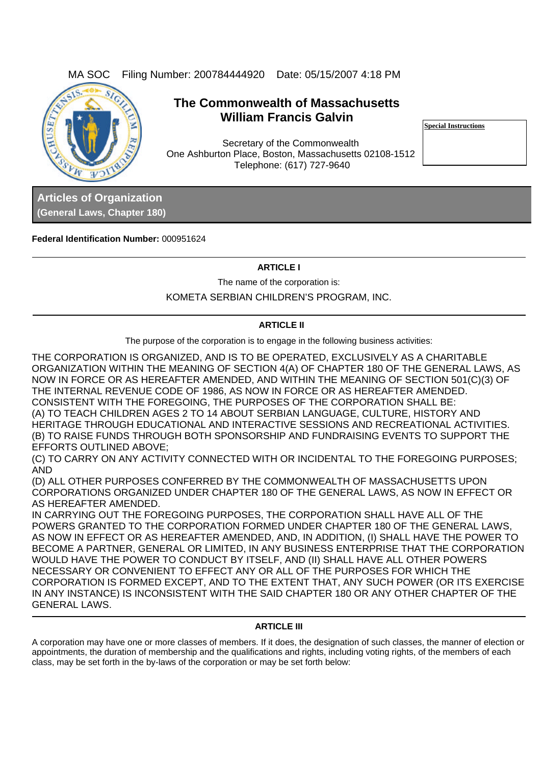

# **The Commonwealth of Massachusetts William Francis Galvin**

Secretary of the Commonwealth One Ashburton Place, Boston, Massachusetts 02108-1512 Telephone: (617) 727-9640

**Special Instructions**

**Articles of Organization (General Laws, Chapter 180)**

**Federal Identification Number:** 000951624

## **ARTICLE I**

The name of the corporation is:

KOMETA SERBIAN CHILDREN'S PROGRAM, INC.

# **ARTICLE II**

The purpose of the corporation is to engage in the following business activities:

THE CORPORATION IS ORGANIZED, AND IS TO BE OPERATED, EXCLUSIVELY AS A CHARITABLE ORGANIZATION WITHIN THE MEANING OF SECTION 4(A) OF CHAPTER 180 OF THE GENERAL LAWS, AS NOW IN FORCE OR AS HEREAFTER AMENDED, AND WITHIN THE MEANING OF SECTION 501(C)(3) OF THE INTERNAL REVENUE CODE OF 1986, AS NOW IN FORCE OR AS HEREAFTER AMENDED. CONSISTENT WITH THE FOREGOING, THE PURPOSES OF THE CORPORATION SHALL BE: (A) TO TEACH CHILDREN AGES 2 TO 14 ABOUT SERBIAN LANGUAGE, CULTURE, HISTORY AND HERITAGE THROUGH EDUCATIONAL AND INTERACTIVE SESSIONS AND RECREATIONAL ACTIVITIES. (B) TO RAISE FUNDS THROUGH BOTH SPONSORSHIP AND FUNDRAISING EVENTS TO SUPPORT THE EFFORTS OUTLINED ABOVE;

(C) TO CARRY ON ANY ACTIVITY CONNECTED WITH OR INCIDENTAL TO THE FOREGOING PURPOSES; AND

(D) ALL OTHER PURPOSES CONFERRED BY THE COMMONWEALTH OF MASSACHUSETTS UPON CORPORATIONS ORGANIZED UNDER CHAPTER 180 OF THE GENERAL LAWS, AS NOW IN EFFECT OR AS HEREAFTER AMENDED.

IN CARRYING OUT THE FOREGOING PURPOSES, THE CORPORATION SHALL HAVE ALL OF THE POWERS GRANTED TO THE CORPORATION FORMED UNDER CHAPTER 180 OF THE GENERAL LAWS, AS NOW IN EFFECT OR AS HEREAFTER AMENDED, AND, IN ADDITION, (I) SHALL HAVE THE POWER TO BECOME A PARTNER, GENERAL OR LIMITED, IN ANY BUSINESS ENTERPRISE THAT THE CORPORATION WOULD HAVE THE POWER TO CONDUCT BY ITSELF, AND (II) SHALL HAVE ALL OTHER POWERS NECESSARY OR CONVENIENT TO EFFECT ANY OR ALL OF THE PURPOSES FOR WHICH THE CORPORATION IS FORMED EXCEPT, AND TO THE EXTENT THAT, ANY SUCH POWER (OR ITS EXERCISE IN ANY INSTANCE) IS INCONSISTENT WITH THE SAID CHAPTER 180 OR ANY OTHER CHAPTER OF THE GENERAL LAWS.

### **ARTICLE III**

A corporation may have one or more classes of members. If it does, the designation of such classes, the manner of election or appointments, the duration of membership and the qualifications and rights, including voting rights, of the members of each class, may be set forth in the by-laws of the corporation or may be set forth below: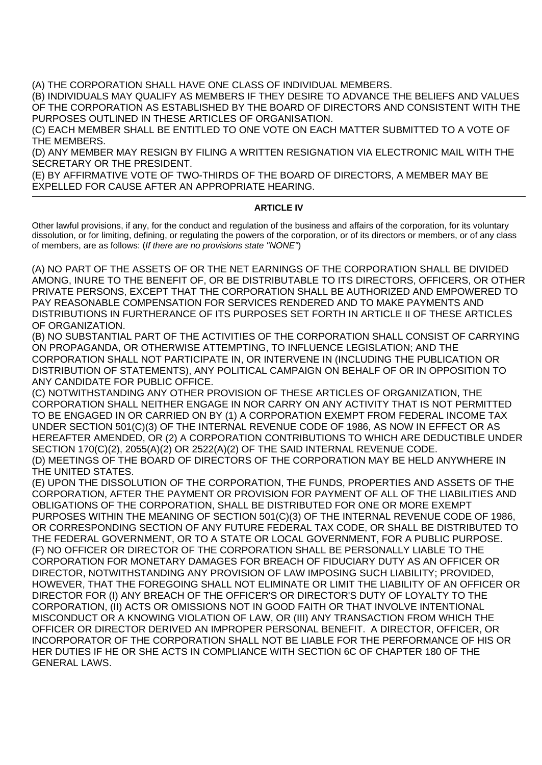(A) THE CORPORATION SHALL HAVE ONE CLASS OF INDIVIDUAL MEMBERS.

(B) INDIVIDUALS MAY QUALIFY AS MEMBERS IF THEY DESIRE TO ADVANCE THE BELIEFS AND VALUES OF THE CORPORATION AS ESTABLISHED BY THE BOARD OF DIRECTORS AND CONSISTENT WITH THE PURPOSES OUTLINED IN THESE ARTICLES OF ORGANISATION.

(C) EACH MEMBER SHALL BE ENTITLED TO ONE VOTE ON EACH MATTER SUBMITTED TO A VOTE OF THE MEMBERS.

(D) ANY MEMBER MAY RESIGN BY FILING A WRITTEN RESIGNATION VIA ELECTRONIC MAIL WITH THE SECRETARY OR THE PRESIDENT.

(E) BY AFFIRMATIVE VOTE OF TWO-THIRDS OF THE BOARD OF DIRECTORS, A MEMBER MAY BE EXPELLED FOR CAUSE AFTER AN APPROPRIATE HEARING.

### **ARTICLE IV**

Other lawful provisions, if any, for the conduct and regulation of the business and affairs of the corporation, for its voluntary dissolution, or for limiting, defining, or regulating the powers of the corporation, or of its directors or members, or of any class of members, are as follows: (*If there are no provisions state "NONE"*)

(A) NO PART OF THE ASSETS OF OR THE NET EARNINGS OF THE CORPORATION SHALL BE DIVIDED AMONG, INURE TO THE BENEFIT OF, OR BE DISTRIBUTABLE TO ITS DIRECTORS, OFFICERS, OR OTHER PRIVATE PERSONS, EXCEPT THAT THE CORPORATION SHALL BE AUTHORIZED AND EMPOWERED TO PAY REASONABLE COMPENSATION FOR SERVICES RENDERED AND TO MAKE PAYMENTS AND DISTRIBUTIONS IN FURTHERANCE OF ITS PURPOSES SET FORTH IN ARTICLE II OF THESE ARTICLES OF ORGANIZATION.

(B) NO SUBSTANTIAL PART OF THE ACTIVITIES OF THE CORPORATION SHALL CONSIST OF CARRYING ON PROPAGANDA, OR OTHERWISE ATTEMPTING, TO INFLUENCE LEGISLATION; AND THE CORPORATION SHALL NOT PARTICIPATE IN, OR INTERVENE IN (INCLUDING THE PUBLICATION OR DISTRIBUTION OF STATEMENTS), ANY POLITICAL CAMPAIGN ON BEHALF OF OR IN OPPOSITION TO ANY CANDIDATE FOR PUBLIC OFFICE.

(C) NOTWITHSTANDING ANY OTHER PROVISION OF THESE ARTICLES OF ORGANIZATION, THE CORPORATION SHALL NEITHER ENGAGE IN NOR CARRY ON ANY ACTIVITY THAT IS NOT PERMITTED TO BE ENGAGED IN OR CARRIED ON BY (1) A CORPORATION EXEMPT FROM FEDERAL INCOME TAX UNDER SECTION 501(C)(3) OF THE INTERNAL REVENUE CODE OF 1986, AS NOW IN EFFECT OR AS HEREAFTER AMENDED, OR (2) A CORPORATION CONTRIBUTIONS TO WHICH ARE DEDUCTIBLE UNDER SECTION 170(C)(2), 2055(A)(2) OR 2522(A)(2) OF THE SAID INTERNAL REVENUE CODE. (D) MEETINGS OF THE BOARD OF DIRECTORS OF THE CORPORATION MAY BE HELD ANYWHERE IN THE UNITED STATES.

(E) UPON THE DISSOLUTION OF THE CORPORATION, THE FUNDS, PROPERTIES AND ASSETS OF THE CORPORATION, AFTER THE PAYMENT OR PROVISION FOR PAYMENT OF ALL OF THE LIABILITIES AND OBLIGATIONS OF THE CORPORATION, SHALL BE DISTRIBUTED FOR ONE OR MORE EXEMPT PURPOSES WITHIN THE MEANING OF SECTION 501(C)(3) OF THE INTERNAL REVENUE CODE OF 1986, OR CORRESPONDING SECTION OF ANY FUTURE FEDERAL TAX CODE, OR SHALL BE DISTRIBUTED TO THE FEDERAL GOVERNMENT, OR TO A STATE OR LOCAL GOVERNMENT, FOR A PUBLIC PURPOSE. (F) NO OFFICER OR DIRECTOR OF THE CORPORATION SHALL BE PERSONALLY LIABLE TO THE CORPORATION FOR MONETARY DAMAGES FOR BREACH OF FIDUCIARY DUTY AS AN OFFICER OR DIRECTOR, NOTWITHSTANDING ANY PROVISION OF LAW IMPOSING SUCH LIABILITY; PROVIDED, HOWEVER, THAT THE FOREGOING SHALL NOT ELIMINATE OR LIMIT THE LIABILITY OF AN OFFICER OR DIRECTOR FOR (I) ANY BREACH OF THE OFFICER'S OR DIRECTOR'S DUTY OF LOYALTY TO THE CORPORATION, (II) ACTS OR OMISSIONS NOT IN GOOD FAITH OR THAT INVOLVE INTENTIONAL MISCONDUCT OR A KNOWING VIOLATION OF LAW, OR (III) ANY TRANSACTION FROM WHICH THE OFFICER OR DIRECTOR DERIVED AN IMPROPER PERSONAL BENEFIT. A DIRECTOR, OFFICER, OR INCORPORATOR OF THE CORPORATION SHALL NOT BE LIABLE FOR THE PERFORMANCE OF HIS OR HER DUTIES IF HE OR SHE ACTS IN COMPLIANCE WITH SECTION 6C OF CHAPTER 180 OF THE GENERAL LAWS.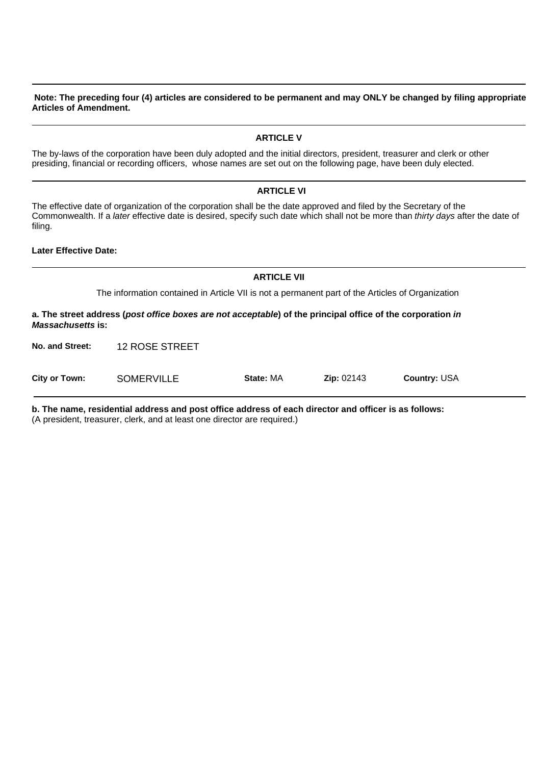#### **Note: The preceding four (4) articles are considered to be permanent and may ONLY be changed by filing appropriate Articles of Amendment.**

## **ARTICLE V**

The by-laws of the corporation have been duly adopted and the initial directors, president, treasurer and clerk or other presiding, financial or recording officers, whose names are set out on the following page, have been duly elected.

#### **ARTICLE VI**

The effective date of organization of the corporation shall be the date approved and filed by the Secretary of the Commonwealth. If a *later* effective date is desired, specify such date which shall not be more than *thirty days* after the date of filing.

**Later Effective Date:** 

The information contained in Article VII is not a permanent part of the Articles of Organization

**ARTICLE VII**

**a. The street address (***post office boxes are not acceptable***) of the principal office of the corporation** *in Massachusetts* **is:**

12 ROSE STREET **No. and Street:**

**State:** MA **Zip:** 02143 **Country:** USA **SOMERVILLE City or Town:**

**b. The name, residential address and post office address of each director and officer is as follows:**

(A president, treasurer, clerk, and at least one director are required.)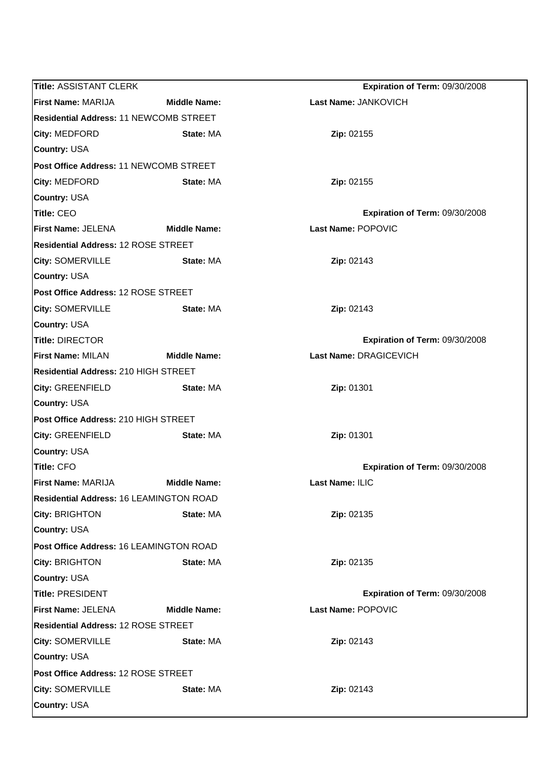| <b>Title: ASSISTANT CLERK</b>                  |                     | Expiration of Term: 09/30/2008 |  |  |
|------------------------------------------------|---------------------|--------------------------------|--|--|
| <b>First Name: MARIJA</b>                      | <b>Middle Name:</b> | Last Name: JANKOVICH           |  |  |
| <b>Residential Address: 11 NEWCOMB STREET</b>  |                     |                                |  |  |
| City: MEDFORD                                  | State: MA           | Zip: 02155                     |  |  |
| <b>Country: USA</b>                            |                     |                                |  |  |
| Post Office Address: 11 NEWCOMB STREET         |                     |                                |  |  |
| City: MEDFORD                                  | State: MA           | Zip: 02155                     |  |  |
| <b>Country: USA</b>                            |                     |                                |  |  |
| <b>Title: CEO</b>                              |                     | Expiration of Term: 09/30/2008 |  |  |
| <b>First Name: JELENA</b>                      | <b>Middle Name:</b> | Last Name: POPOVIC             |  |  |
| <b>Residential Address: 12 ROSE STREET</b>     |                     |                                |  |  |
| <b>City: SOMERVILLE</b>                        | State: MA           | Zip: 02143                     |  |  |
| <b>Country: USA</b>                            |                     |                                |  |  |
| Post Office Address: 12 ROSE STREET            |                     |                                |  |  |
| <b>City: SOMERVILLE</b>                        | State: MA           | Zip: 02143                     |  |  |
| <b>Country: USA</b>                            |                     |                                |  |  |
| <b>Title: DIRECTOR</b>                         |                     | Expiration of Term: 09/30/2008 |  |  |
| <b>First Name: MILAN</b>                       | <b>Middle Name:</b> | Last Name: DRAGICEVICH         |  |  |
| <b>Residential Address: 210 HIGH STREET</b>    |                     |                                |  |  |
| <b>City: GREENFIELD</b>                        | State: MA           | Zip: 01301                     |  |  |
| <b>Country: USA</b>                            |                     |                                |  |  |
| Post Office Address: 210 HIGH STREET           |                     |                                |  |  |
| <b>City: GREENFIELD</b>                        | State: MA           | Zip: 01301                     |  |  |
| <b>Country: USA</b>                            |                     |                                |  |  |
| <b>Title: CFO</b>                              |                     | Expiration of Term: 09/30/2008 |  |  |
| <b>First Name: MARIJA</b>                      | <b>Middle Name:</b> | Last Name: ILIC                |  |  |
| <b>Residential Address: 16 LEAMINGTON ROAD</b> |                     |                                |  |  |
| City: BRIGHTON                                 | State: MA           | Zip: 02135                     |  |  |
| <b>Country: USA</b>                            |                     |                                |  |  |
| Post Office Address: 16 LEAMINGTON ROAD        |                     |                                |  |  |
| City: BRIGHTON                                 | State: MA           | Zip: 02135                     |  |  |
| <b>Country: USA</b>                            |                     |                                |  |  |
| <b>Title: PRESIDENT</b>                        |                     | Expiration of Term: 09/30/2008 |  |  |
| <b>First Name: JELENA</b>                      | <b>Middle Name:</b> | Last Name: POPOVIC             |  |  |
| <b>Residential Address: 12 ROSE STREET</b>     |                     |                                |  |  |
| <b>City: SOMERVILLE</b>                        | State: MA           | Zip: 02143                     |  |  |
| <b>Country: USA</b>                            |                     |                                |  |  |
| Post Office Address: 12 ROSE STREET            |                     |                                |  |  |
| <b>City: SOMERVILLE</b>                        | State: MA           | Zip: 02143                     |  |  |
| <b>Country: USA</b>                            |                     |                                |  |  |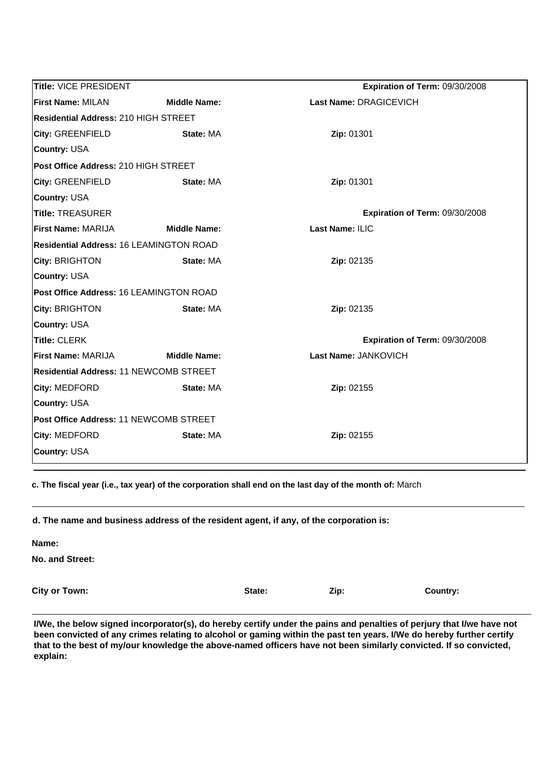| Title: VICE PRESIDENT                          |                     | Expiration of Term: 09/30/2008 |  |
|------------------------------------------------|---------------------|--------------------------------|--|
| <b>First Name: MILAN</b>                       | <b>Middle Name:</b> | Last Name: DRAGICEVICH         |  |
| <b>Residential Address: 210 HIGH STREET</b>    |                     |                                |  |
| <b>City: GREENFIELD</b>                        | State: MA           | Zip: 01301                     |  |
| <b>Country: USA</b>                            |                     |                                |  |
| Post Office Address: 210 HIGH STREET           |                     |                                |  |
| <b>City: GREENFIELD</b>                        | State: MA           | Zip: 01301                     |  |
| <b>Country: USA</b>                            |                     |                                |  |
| <b>Title: TREASURER</b>                        |                     | Expiration of Term: 09/30/2008 |  |
| First Name: MARIJA                             | <b>Middle Name:</b> | Last Name: ILIC                |  |
| <b>Residential Address: 16 LEAMINGTON ROAD</b> |                     |                                |  |
| City: BRIGHTON                                 | State: MA           | Zip: 02135                     |  |
| <b>Country: USA</b>                            |                     |                                |  |
| Post Office Address: 16 LEAMINGTON ROAD        |                     |                                |  |
| City: BRIGHTON                                 | State: MA           | Zip: 02135                     |  |
| <b>Country: USA</b>                            |                     |                                |  |
| <b>Title: CLERK</b>                            |                     | Expiration of Term: 09/30/2008 |  |
| First Name: MARIJA                             | <b>Middle Name:</b> | Last Name: JANKOVICH           |  |
| Residential Address: 11 NEWCOMB STREET         |                     |                                |  |
| City: MEDFORD                                  | State: MA           | Zip: 02155                     |  |
| <b>Country: USA</b>                            |                     |                                |  |
| Post Office Address: 11 NEWCOMB STREET         |                     |                                |  |
| City: MEDFORD                                  | State: MA           | Zip: 02155                     |  |
| <b>Country: USA</b>                            |                     |                                |  |

**c. The fiscal year (i.e., tax year) of the corporation shall end on the last day of the month of:** March

**Name:**

**No. and Street:**

**City or Town:**

**State: Zip: Country:**

**I/We, the below signed incorporator(s), do hereby certify under the pains and penalties of perjury that I/we have not been convicted of any crimes relating to alcohol or gaming within the past ten years. I/We do hereby further certify that to the best of my/our knowledge the above-named officers have not been similarly convicted. If so convicted, explain:**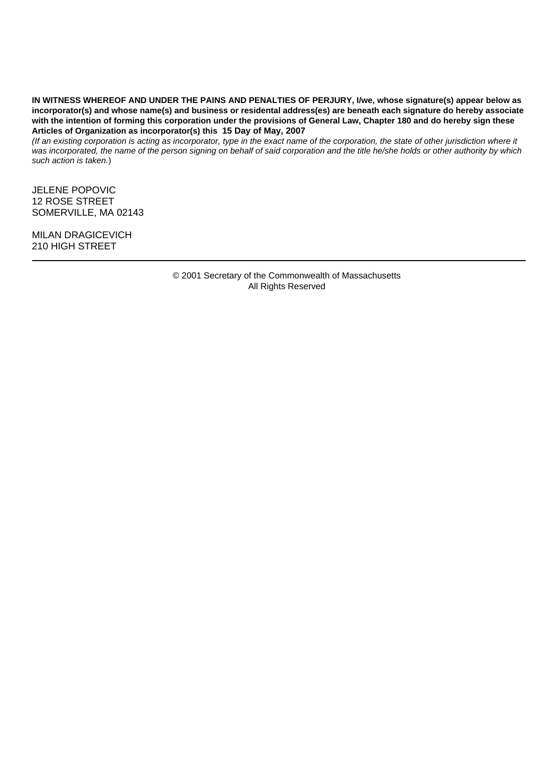**IN WITNESS WHEREOF AND UNDER THE PAINS AND PENALTIES OF PERJURY, I/we, whose signature(s) appear below as incorporator(s) and whose name(s) and business or residental address(es) are beneath each signature do hereby associate with the intention of forming this corporation under the provisions of General Law, Chapter 180 and do hereby sign these Articles of Organization as incorporator(s) this 15 Day of May, 2007**

*(If an existing corporation is acting as incorporator, type in the exact name of the corporation, the state of other jurisdiction where it was incorporated, the name of the person signing on behalf of said corporation and the title he/she holds or other authority by which such action is taken.*)

JELENE POPOVIC 12 ROSE STREET SOMERVILLE, MA 02143

MILAN DRAGICEVICH 210 HIGH STREET

> All Rights Reserved © 2001 Secretary of the Commonwealth of Massachusetts